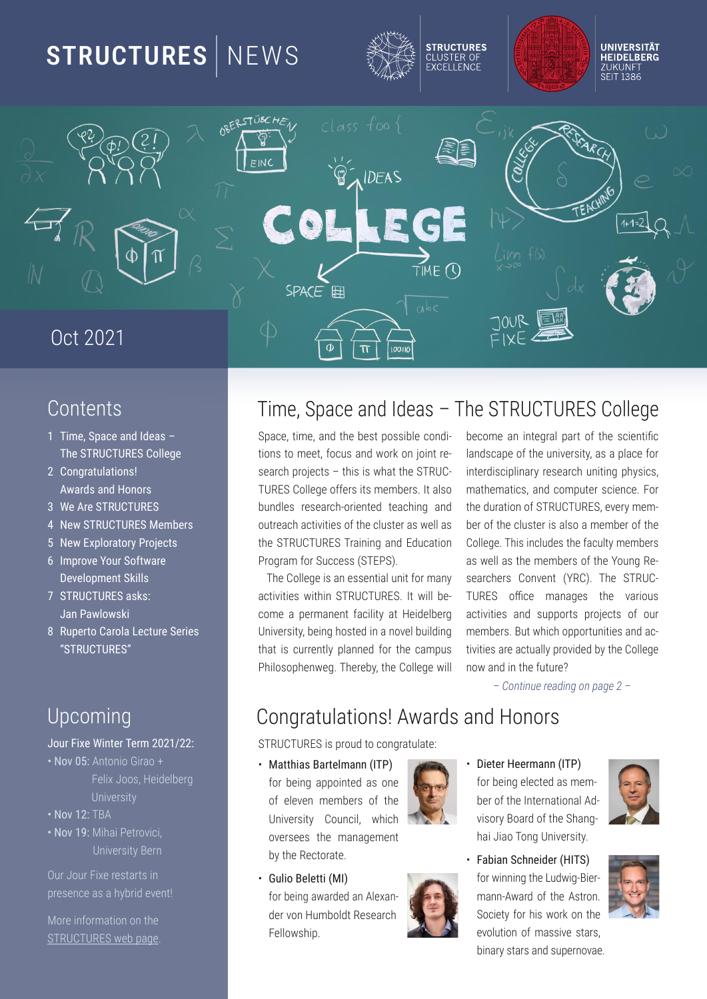# $6G$

## <span id="page-0-0"></span>**BAGAGE**

 $7, 3$  ( $\times$  13/ $\times$ 2 23/AJ  $(63()$ '\*  $)^*$ ' (=:353  $=<5@R/BE $+$$  $E/QA/Q = -2$  $3 \circledcirc (1^{**} )^{**}$  (  $$3E()'$   $*$  )  $*'$  ( #3; 03@ \$3E F = @ B = @ & @ 831 BA  $\frac{1}{2}$  > @DB - =  $\frac{1}{2}$  =  $\frac{1}{2}$  =  $\frac{1}{2}$  =  $\frac{1}{2}$  =  $\frac{1}{2}$  =  $\frac{1}{2}$  =  $\frac{1}{2}$  =  $\frac{1}{2}$  =  $\frac{1}{2}$  =  $\frac{1}{2}$  =  $\frac{1}{2}$  =  $\frac{1}{2}$  =  $\frac{1}{2}$  =  $\frac{1}{2}$  =  $\frac{1}{2}$  =  $\frac{1}{2}$  =  $\frac{1}{2}$  $3D3:=&; 3\angle B(97:A)$  $( ) ' * ' ( / A9A )$  $1 < 8$ / E:=EA97 'C<sub>3</sub><sup>®</sup> / @ / "31BD @ (3<sup>®</sup>A  $K$ )'\* )\*' (L

## <span id="page-0-1"></span> $/$  CGB@ $A$

 $=$ C@T3,  $7$ B@3@  $M$ = D$   $A$  $B$  $A$  $B$ !  $E$  $B$ 83 KSBBF "87868E  $/$  A  $8$   $\times$   $6$  $M\bar{b} = D$  $M\overline{BD}$   $\overline{\left(4\right)}$   $\overline{8}$   $\overline{AB}$   $\overline{6}$   $\overline{6}$ / A + 8 F + 6 B + 8 E A

HESBHE 48 BFGHEF 4 **CEBF8A684F4: L5E7818AG** 

**FR AGRFOLORA BAGS**  $-7.7/7.7 - J8504.8$ 

# $.$   $\&$  8 - C468 4A7 #784FQ. : 8 - . . / . / . - B?B: 8

F8416; CIB-860FQG+FJ; 4GG8-../ P 4A3B74F6+C344HL BF8416; HAGA: CLF6F G8-../ ./, - . E44A: 4A7 7H64GBA \* BB BI@ 9BE-H668FF - . \*-

 $.3$  B  $\%$  8  $\epsilon$  4 A 8 FF8 A G4? HA GB E @ 4 AL 46GL-68FJ-6-A-.././. - #GJ-4"58P./. - BX68 @4A4:8FG-8 14EBHF 6B@8 4 C8E@4A8AG946246 4G" 878758E / A Ł8 EF-GE 58 A : BF G 37 A 4 A B 8 ? 5 H 27 A G4G+F6HEBAG1\_C44A87\_SEEG8\_64@OHF G4+G6BF4E8\_460B41?1LCEB4Z87\_5LG8\_B782;8 \*; <BFBC; 8AJ8: .; 8E85L G8 B78: 8J <? ABJ 4A7 <A G89HGHB

- 0468 G@B 4A7 G8 58FGOBFF578 6BA74P 586B@B 4A 4AB: E4? 04EGB9 G8 F6+8AG6  $1.1 - B$  78:8 B998EF 4GF @8@58EF #C447EB @4G68@4G6F 4A76B@CHG8EF648468 BE 5HA7'8F ESF84EG; BESAG87 G846; <4: 4A7 G87H34GBAB9-., / ./, - 818EL @8@P BHDB46; 46G: 43GF B9G8 67HG8E4F J8??4F 58EB9G8 67HG8E4F 47FB 4 @8@58EB9G8 B78:8 : E+467H78FG8946H70E@8@58EF 4F J 87?4F G8 @ 8@ 58EF B9 G8 2BHA: , 8P F84E6; 8EF B4 8AG 2,  $.38 - .77$  P 46GL-GBF 4A7 FHOOBELGF OIEB86GF B9 BHE @8@58EF HGJ: 6: BOOBEGHAGRF4A746P

# BA: E4GERIGEAF J4E7F4A7" BABEF

 $-$ ., /  $.$  /,  $\epsilon$  OBH7 (B6BA: E4GH4G)

 $U# / E 57 A / E$ :  $/ << 8$ 9BE584: 400BA687 4F BA8 B9 8781 8A @ 8@ 58EF B9 G8 / A t 8EF-46 B + 462 J : 46: BI 8EF88F G8 @4A4: 8@8AG 5LG8.86GBE4G8

- U  $C \not\equiv 3:3EBT \#$ 9BE58-A: 4J 4E787 4A 8K4AP 78EI BA" H@5B7G 8F84E6: 87BJF; €
- $U$  73 $B$   $Q$  33 $Q$ / << ) & 9BE58-A: 8786087 4F @8@P 58EB9G8#ABEA4GBA4? 7P I FBEL B4E7 B9G8-; 4A: P : 4-\$4B. BA / A t 8 EF-46
- $U / 07 < (16 < 3723@)$  ( **JBEJ AAA: G88H7J< 8FP** @4AA J4E7B9G8 FOBA -B6-80E9BE; FJBE>BAG8 81 BPGBA B9 @4FF48 FG4F 5 AAHL FOHE 4A7 FHOSEAB 48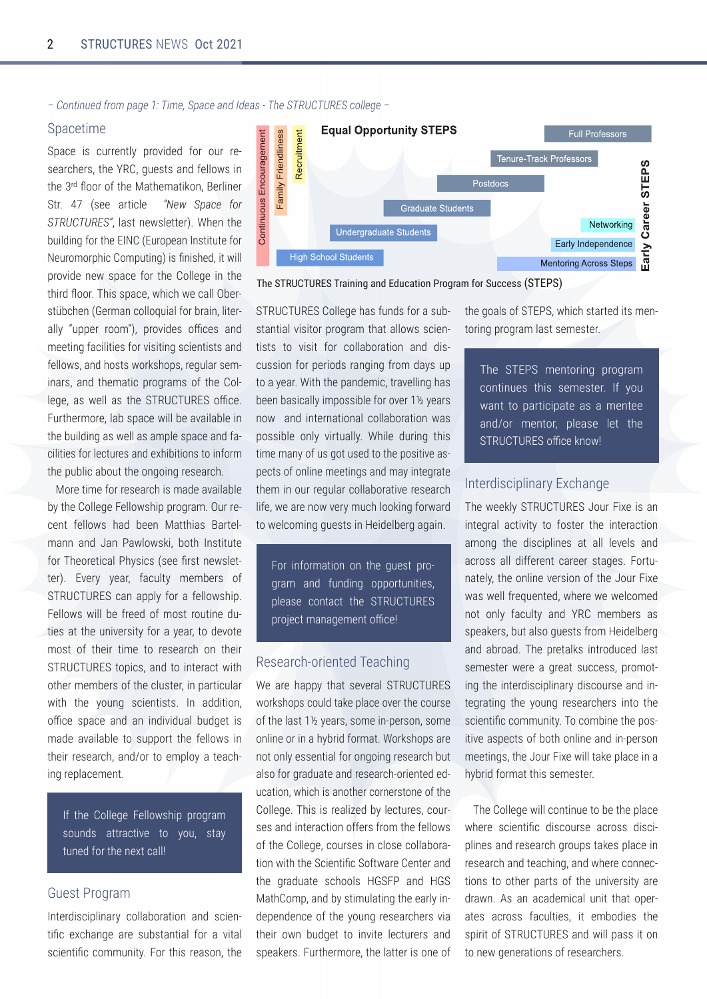*– Continued from page 1: Time, Space and Ideas - The STRUCTURES college –*

#### Spacetime

Space is currently provided for our researchers, the YRC, guests and fellows in the 3<sup>rd</sup> floor of the Mathematikon, Berliner Str. 47 (see article *"New Space for STRUCTURES"*, last newsletter). When the building for the EINC (European Institute for Neuromorphic Computing) is finished, it will provide new space for the College in the third floor. This space, which we call Ober‐ stübchen (German colloquial for brain, liter‐ ally "upper room"), provides offices and meeting facilities for visiting scientists and fellows, and hosts workshops, regular sem‐ inars, and thematic programs of the Col‐ lege, as well as the STRUCTURES office. Furthermore, lab space will be available in the building as well as ample space and facilities for lectures and exhibitions to inform the public about the ongoing research.

More time for research is made available by the College Fellowship program. Our re‐ cent fellows had been Matthias Bartel‐ mann and Jan Pawlowski, both Institute for Theoretical Physics (see first newsletter). Every year, faculty members of STRUCTURES can apply for a fellowship. Fellows will be freed of most routine du‐ ties at the university for a year, to devote most of their time to research on their STRUCTURES topics, and to interact with other members of the cluster, in particular with the young scientists. In addition, office space and an individual budget is made available to support the fellows in their research, and/or to employ a teach‐ ing replacement.

If the College Fellowship program sounds attractive to you, stay tuned for the next call!

### Guest Program

Interdisciplinary collaboration and scientific exchange are substantial for a vital scientific community. For this reason, the



The STRUCTURES Training and Education Program for Success (STEPS)

STRUCTURES College has funds for a sub‐ stantial visitor program that allows scientists to visit for collaboration and dis‐ cussion for periods ranging from days up to a year. With the pandemic, travelling has been basically impossible for over 1½ years now and international collaboration was possible only virtually. While during this time many of us got used to the positive aspects of online meetings and may integrate them in our regular collaborative research life, we are now very much looking forward to welcoming guests in Heidelberg again.

For information on the guest pro‐ gram and funding opportunities, please contact the STRUCTURES project management office!

#### Research-oriented Teaching

We are happy that several STRUCTURES workshops could take place over the course of the last 1½ years, some in-person, some online or in a hybrid format. Workshops are not only essential for ongoing research but also for graduate and research-oriented ed‐ ucation, which is another cornerstone of the College. This is realized by lectures, cour‐ ses and interaction offers from the fellows of the College, courses in close collabora‐ tion with the Scientific Software Center and the graduate schools HGSFP and HGS MathComp, and by stimulating the early in‐ dependence of the young researchers via their own budget to invite lecturers and speakers. Furthermore, the latter is one of the goals of STEPS, which started its mentoring program last semester.

The STEPS mentoring program continues this semester. If you want to participate as a mentee and/or mentor, please let the STRUCTURES office know!

### Interdisciplinary Exchange

The weekly STRUCTURES Jour Fixe is an integral activity to foster the interaction among the disciplines at all levels and across all different career stages. Fortunately, the online version of the Jour Fixe was well frequented, where we welcomed not only faculty and YRC members as speakers, but also guests from Heidelberg and abroad. The pretalks introduced last semester were a great success, promoting the interdisciplinary discourse and in‐ tegrating the young researchers into the scientific community. To combine the positive aspects of both online and in-person meetings, the Jour Fixe will take place in a hybrid format this semester.

The College will continue to be the place where scientific discourse across disciplines and research groups takes place in research and teaching, and where connec‐ tions to other parts of the university are drawn. As an academical unit that oper‐ ates across faculties, it embodies the spirit of STRUCTURES and will pass it on to new generations of researchers.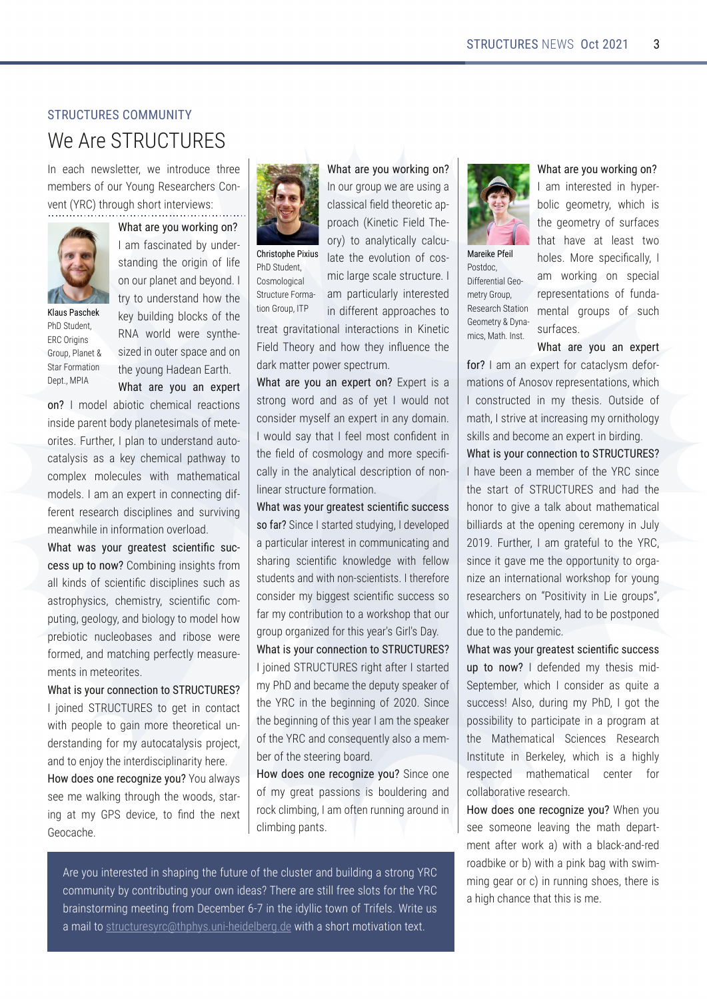$*$ BFG7B6

@K6F'4G;#AFG

## <span id="page-2-0"></span> $($ )'\*)\*' ( %##\*\$)-

# 08  $\mathbb{B}$ -.,/./, -

#A-846;-A8JF?8G8E -J8-<AGEB7H68-G;E88-@8@58EFB9BHE2BHA:, 8F84E6; 8EF BAP l 8AG 2, GEBH; F;BEGA43BEI-& JF

,  $6/ B/ @GCE = @75 =$ #4@94F6<A40875LHA78EP FG4A7<A: G8BE<br/>c<br/>A<br/>B9<88 BABHEC?4A8G4A7 58LBA7 # **GE. GB HA78EFGA7; BJ G8** > SL 5 H7 4 4: 5 B6 5 B9 G8 ,(-JBE? J8EB FLAG8P F4087 <A BHG8EFC4684A7BA G8LBHA: "4784A 4EG; ,  $6/B$ / @ G=C / < 3F>3@B !:/CA&/A1639  $*$ ; - CH78AG , ) E<aF ! EBHC \* ?4A8G -G4E- BE@4G<BA- 8CG ' \*#

 $=<$  # @B78? 45 $\equiv$ B6666; 8@64? EB46GEAF **<AF<78 C4EBAG5B7L C34A8G8F<@4?FB9@8GP** BEG8F HEGSE#C?4AGBHA78EFG4A74HGBP 64G41F+ 4F 4  $\times$ 8L 6; 8@64?C4GJ4LGB 6B@C8K @B86H8F J 4G @4G8@4G64? @B781F#4@4A8KC8EGeA6BAA86GeA:74P 98BAGBF84E6;74F6+C348F4A7FHEt+4A @84AJ;<?8-<A-<A9BE@4G<BA-BI8E?B47

,6/BE/AG=C@5@3/B3ABA173<B7N1AC1I 13AAC>B=<=EB@5<A<A:<br/><AF<;@F9B@ 4? > A7FB9F68AG467 + F66248FH-6; 4F 4FGBC;LF6F 6;8@ FGEL F68AG46 6B@P CHGA:: 8B/B: L4A75-B/B: LGB @B78?; BJ CE85<BG<6-AH6?8B54F8F-4A7-E<5BF8-J8E8-9BE@87 4A7 @466; A: C8E986GL @84FHBP @8AGF-<A-@8G8BE<G8F-

,6/B7AG=C@1=<<31B7=<B=()'\*)\*'( #  $\pm$  8487 - ., / ./, - (B : 8G < A 6BAG46G) J-G C8BC78 (B : 4<A @BEB G6BEBG64?HAP 78EFGA7<A: 9BE@L4HB664G42F+FOEB+86G 4A7 (BB8A-EL G8 <ABE7 <F6 <CR44EGE; 8EB

=E2=3A=<3@1=5<7H3G=C2BH47J4LF F88 @ 8 J 4 3  $\star$  G BH; G 8 J BB7F FG4P 4: 4G@L!\*-78I+68 OBVA7 G8A8KG !8B646;8

#ABHE: EBHCJ84EBHF4A: 4 634FF-64?V877 G8BEBG64OP OEB46; %A8G6 & 7.; 8P BEL **GB 4A42G64? A 6476HP** 6@RE=>63&FTCA 21QBG881BPHGEAB96BFFP @ 46 34 E 8 F64 8 FOH 60GHB # -GEH6GHB BE@4P 4@ C4HE36HAEPL <AGSHBFG87  $^*$ ; - GH78AG **BF@BB**: 64? GBA! EBHC#\*

**A 7498BAG4CCB46; 8F GB** GE84G-:E4I<G4G<BA4?-<AG8E-46G<BAF-<A-%<A8G<6-**87.**; 8BEL 4A7; BJG8L <AWH8A68G8 745-@4GGBECBJ8EFC86GEH@

, 6/ B/ @3 G=CE=@7 $5 =$ 

,  $6/B$ /  $@$  G=C / <  $3F > 3$   $@ =  $K$   $8FE + 4$$ FGEBA: JBE7 4A7 4F B9 L8G# JBH?7 ABG 6BAF 478 E @ LF8?94A 8K CBEGA 4A L 7 B @ 4 A #JBH?7 F4L G4G#988?@BFG6BAV78AG-A G8 V87 B96BF@BBL 4A7 @BBB FC86&P 64? L < A G8 4A41. C64? 78 F6 ECGBA B9 ABA **? 484 EF OF 6GHB 9 BE@4 GBA** 

,6/BE/AG=C@5@3/B3ABA173<B7N1AC113A A = 4 @ - < 468 #FGHEG87 FGH7L < #78| 8PBC87 4 C4E66H4E<ABBFG<A6B@@HA64G4: 4A7 F; 4 EA: F6 8 AG 46 > ABJ 87:8 J <6 98? BJ FGH78AGF4A7 J $\epsilon$ G ABA F6<br/>&AGFGF#G-8EBSBB 6BAF-78E @L5<: 8FGF6-8AG46 FH668FF FB 94 E @ L6BAGESHGBA GB 4 JBESF; BC G4GBHE : EBHCBE: 4AA&879BEG+FL84EF! + EFF 4L , 6/BAG=C@1 = << 31 B = <  $\cdot$ B + ' ' (-#-=B<A87--.,/./,--E<:;G-49G8E-#-FG4EG87-@L\*; 4A7 5864@8 G8 78CHGLFC84>8EB9 G82, A G858: <AA<br/>A: B9 -<A68-G858: < AA A: B9G+E L84E #4@C68F C84>8E B9G82, 4A76BAF8DH8AGL47FB4@8@P

=E2=3A=<3@31=5<7H3G=C-<468B48 B9-@L: B84GC4FF-BAF-  $\epsilon$ - 5BH778E4: 4A7 HEG>624254<br />  $\#4@$  B908A HHAA<br />  $4H$ HA7<br />
A 6202541 C4AGF

58EB9G8FG88EA: 5B4E7

BH-AGBBFG87 <AF;4CeA:G89HGHBB9G86?HFG8E4A75H674A:4FGBBA:2,  $6B@@H@E5L6BAGE5H@X: LBFEBJA 4784F.$ ;  $8B4BFGR@B8FBGF9BEG82,$ 5E4<br />
4G8</a></a>6 CBJA B9. E38?F0 E43HF 4 @42<sup>@</sup>BFGEH6GHEBFLE6 GC;LFHA<6 878758E78J4G44F;BEG@BG44GBAGKG

,  $6/ B/ @G-CE = @K5 =$ #4@ **AGBFG7** <A; LC8EP 5B?6:8B@80EL J; 6; F G8: 8B@80ELB9FHE9468F G4G; 418 4G 784FG GIB ; B38F ' BEB FC86~ $\lambda$ 64? 2L # 4@-JBE><A:-BA-FC86<4?- BOBF8AG4GBAFB99HA74P , 8F84E6; - G4GBA @BAG4? : EBHOF B9 FH6; FHE9468F #/@3793&437: <98E8AG<4?-!8B-P @80EL!EBHC !8B@80EL LA4P

,  $6/B$ / @ G=C / < 3F>3@B 4= @ #4 @ 4A 8KC8EGBE64G60LF@789BEP @4GEAFB9 ABFBIERCERF8AG4GEAFJ; 46; #6BAFGEH6G87 <A @LG8F<F)HGF<78B9 @4G;#FGEt84GeA6EB4FeA:@LBEA-GBBLL F<sub> $\approx$ </sub>  $\frac{366}{4}$  586B@84A8KO8EG-A5457-A:

,6/B7AG=C@1=<<31B7=<B=()'\*)\*'(-#; 4I 8 588A 4 @ 8 @ 58 EB 9 G 8 2, F 4 6 8 G8 FG4EGB9-., / ./, - 4A7 ; 47 G8 ;BABEGB:  $\pm 8$  4 G2 45BHG@4G8@4G64? 54% Harry 4GG8 BO8A &: 68 BOBAL & \$HPL

HEG;8E #4@: E4G89H?GBG;82, F<A68-G: 418 @ 8G8BCOBEGHAGE GBBE: 4P AA 84A 4A SHEA4GBA4? JBESF; BC 9BELBHA:  $B$ F84 $E$ ;  $8$ EFBA $S$ BF $G$ k $E$ k $A$  $8$  $8$ :  $B$ HOFT  $J$ ;  $6$ ;  $H$  $B$  $E$  $B$  $A$  $A$  $B$  $I$ ;  $47$  $B$  $58$  $B$  $F$  $E$  $B$  $A$  $87$ 7H8 (BG8 C4A78@6

, 6/BE/AG=C@5@VB3ABA173<B7N1AC113AA C>B= <=E #7898A787 @LG8F+F @<7 -8CG8@58E J; 46; #6BAF-78E4FDH684 **FH668FF** PEB 7HEA:  $@L^*$ ; #: BGG8 CBFF-5-24G CB C4EG6-64C8 <A 4 CEB E4@ 4G G8 ' 4G8@4G64? - 6~8A68F, 8F84E6;  $#FGGB$   $A$   $8E88L$   $J$ ;  $6$ ;  $F$   $4$ ;  $\lt$ ;  $2$ BFC86C87 @4G8@4G64? 68AG8E 9BE 6B?45BE4G48B6F84E6;

=E2=3A=<3@31=5<7H3G=C-0;8A-LBH- F88 FB@8BA8 1841 <4: G8 @4G 78C4EGP @BAG4908EJBE5-4 J + G 4 5?46 > 4A7 EB7 EB475<8BE5J4G4C<br/>e $\blacktriangleright$ 54: J4GFJ4@P @ A:: 84EBE6 <A EHAAA: F;B8F G8E8 +E  $4; < 6; 4A68G4G6 \in \text{\textcircled{68}}$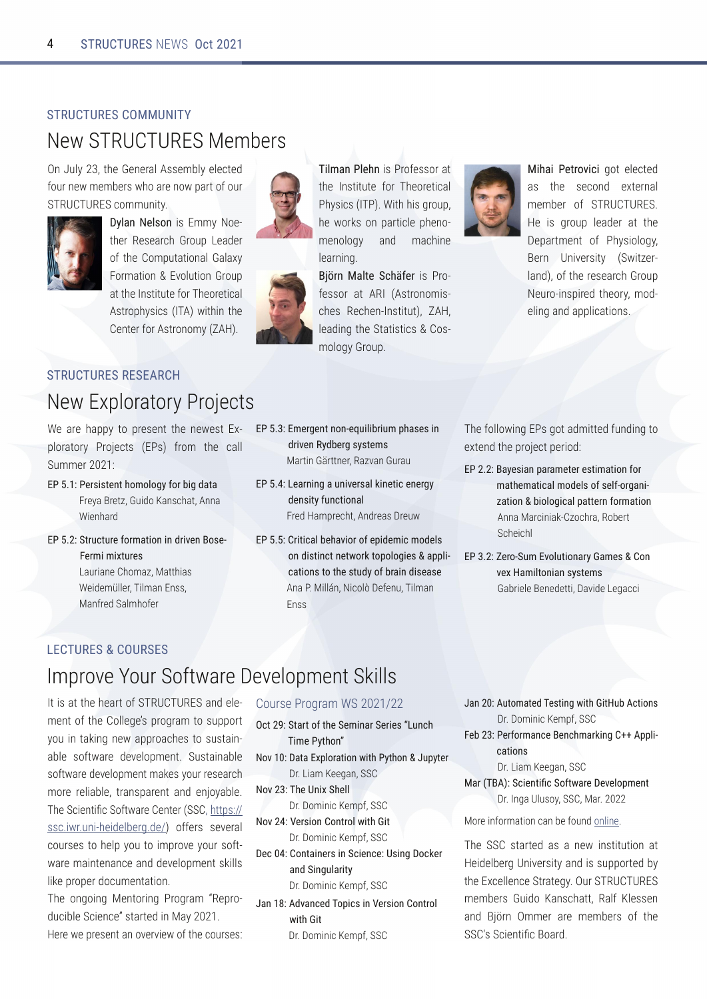# <span id="page-3-0"></span> $( ) ' * ' ( )$  (  $\frac{9}{4}$  #  $*$  \$ ) - $(8J - 1/7 + 8@58F$

) A SHL G8! 8A8E4? FF8@51\_8786087 9BHEA8J @8@58EFJ; B4EBABJ C4ECE9BHE  $-.11.6000 + A.E.$ 

> $G' < $3: A \lt K \ \textcircled{201}$  (B8P G8E, 8F84E6; ! EHC 88478E B9G8 B@CH3GBA4?! 4?4KL **BE@4GBA IBHOBA! EHC** 4GG8#FGGGBB9E: 8BEBG64? FOBCLF6F#JGAG8 8AGSESBE FOBAB@L 3 "

## <span id="page-3-1"></span> $( )^{+*}$   $)^{*+}$   $( )^{+}$   $( )^{-}$

## (8J KCBE4GBEL\* EBS6GF

08 4B ; 400L OB OBF8AGG8 A8J 8FG KP & CBE4GBEL \* EB86GF \* F 9E8@ G8 64?  $-H@@BE$ 

- $\boldsymbol{\mathsf{R}}$ &3@DAB3<B6=; =:=5G4=@D52/B EBL4 EBOB/! H7B%4AF6; 4G AA4  $0$  -8A:  $4E$
- (B@1BC@4=@/B=<7<2@D<=A3  $\boldsymbol{\mathsf{R}}$ 3@ 7: 7FBC@A 841-54A8 ; B@4M' 4GG-4F 08-78@ ??BE. - 2024A AFF ' 4A9B7 - 4?@; B98E
- :  $3@3E \leq x 3?$ CTOQQ  $>6/83A$ K 2020-2-1 G20302 AGAB3; A ' 4 EGA! ZEGBASE, 4 MI4A! HE4H

) 7;  $/ < 8:36 <$   $\in$  \* EBBFFBE4G

G8 #FGGH3 9BE.; 8BEBG64?

\*: LF6F # \* 0  $6$ :  $F$ : EHC

: 8 J BESF BA CAEGG® C 8ABP

\$P@#/:B% (16O43@F \* EBP

SBFFBE 4G, # FOBAB@ FP

6; 8F, 86; 8A#PGGBG 3 "

@BBL!BHC

@46: 48

**BFP** 

@BABTB: L 4A7

**B4EAA** 

- $\boldsymbol{\mathcal{R}}$ "3/@745/C<7D3@4:97<3B713<3@G 23<ABG4C<1BE</: EB7" 4@CEB6: G A7EB4F EBHJ
- & **@B1/:036/DE** @e43>723: 71: =23:A 1/ BE<AB= B63 ABC2G=40@7<27A3/A3 A4\* ' ZYA ( GB' 898AH . 2024A AFF

#76/7&3B@D717: BG8786087 4F G8 F86BA7 8KBEA4? @8@58EB9 -../ ./. -"8 F: EHC 78478E 4GG8 8CAECOBAG B9 \*; LF-BBL 8EA / A + 8EF-46 - J-468FP ?4A7 B9G8 BBF84E6; ! EBHC (8HB & FC&B7 G8BEL @B7P 83A: 4A7 400364GBAF

 $.393 \times 10^{-10}$  F: BG47@ 63879-1474  $\cdot$  63 8KGA7 G8 CIBB6GC8EB7

- $/$  GBA7 <  $>$  @ 3BB @BAB7  $/$  BE < 4= @ ጼ ; / B63; / B7I/:; = 23: A = 4A3: 4 = @  $\ll$ 7 HB< 02:=571/:> BB@4=@/BE< AA4' 4E6<A<br />>
MB6; E4, B58EG  $-6; 86; ?$
- $.3@$  (C D=:OB $\leq$  /  $@$  / ; 3A  $\leq$  $\mathcal{R}$ DBF /; 7B-<7 < AGAB3; A ! 45E878 8A878GG 41 478 88:466<

## <span id="page-3-2"></span>" ) \* ' (  $9/6$  ' ( (

## $\#a$ CHB 8 2BH- BGG 4HB 818BC@BAG

#G#F4GG8; 84EGB9-., / ./, -4A788P @BAGE9G8 B78:8FROEB: E4@ OB FHOOBEG LBH & G > & ASJ 400 B46: 8F (B FH G & P 4578 FB9G 4EB 78187BC@BAG - HFG4-A4578 \$=D FB903 4EB 781 87BC@BAG@4>8FLBHEEBF84E6: @BEB E834578 GEAFCAEBAG4A7 8ABL4578  $.3 - 6 - 6 - 6 - 6 = 9 - 4 = 8 - 6 = 6$  $$=D$ FF6 J EHK: 8478758E 78 B998EF F818E4? 6BHERF (B: 8TC LBH (B @ CHB 8 LBHEFB90P J4B @4408A4A684A77818BC@BAGFXPF 3-8 CHBC8E7B6H@BAG4GBA  $.38B4B4'$  8AGBEA;  $*$  EB EI @ S 8OEP  $1<$ 7H658-68A68TFGH687 <A' 4L

" 8EB J 8 OEBF8AG4A BI 8EI & J B9G8 6BHEF8F

- $B + FB * FB$   $B(@0 -$
- $%B$ (B  $\bigoplus$  4B63 (3; 7 $\bigoplus$  @ 3@ AK C < 16  $7,38$   $\equiv$   $-4$ 
	- /B F>:=@B2=<E786&G86=< C>GB3@ E&4@%88:4A--
- $$=D$   $) 63 * **F**(63$

 $31$ 

- E B@446%8@C9-- $+3@7 = **B@** E766$   $-8$ E B@446%8@C9-- $=\times B$   $\times 3@$   $\times$  (173  $\times$  13  $*$  A  $\times$  5 = 193 $@$
- / <2 (7<5C/ @BG
	- E B@446%8@C9--
- $2D < 132$ ) = >  $7A7 + 3@7 = **BE**$ E766 7B
	- E B@446%8@C9--
- $\prime$  < 0B: / B32 ) 3ABK-5 E786 7B 00 1B4-<A E B@446%8@C9--
- 30 &3@=@/<13 3<16; / @7<5  $>>:7$  $1/BE < A$ 
	- E&4@%88:4A --
- $#($  $@)$  $(173 - B/N)$   $(=\sqrt{4E}/\text{ }Q$   $3D8 == 3$ ;  $3 - B$ E#\ 4/ ?HBL -- ' 4E
- BB-AGBE@AGBA64A589BHA7BA348

 $.3 - F4E374F4A8J4F4F4A4G$ " 8478758E / A 48 EF 461447 + FHOOBER87 5L G8 K6878468-CE4G8: L) HE-.././. @8@58EF ! H7B %4AF6; 4GG, 479 % 8FF8A 4A7 \trade\) @@8E4BB @8@58EFB9G8  $-$  F-68AGM6 B4E7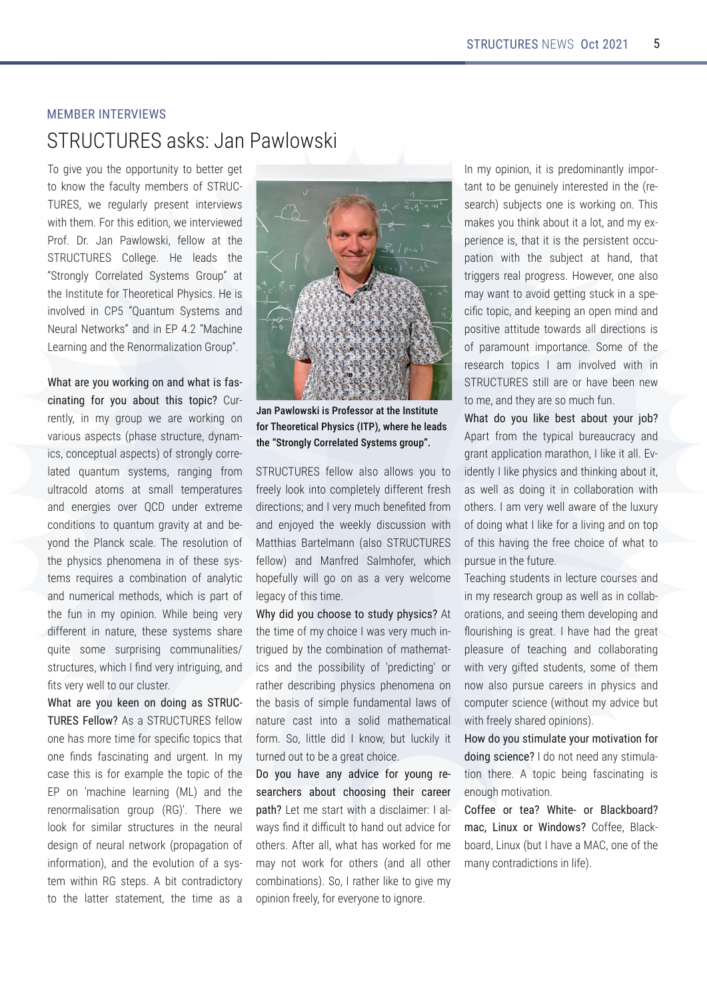# <span id="page-4-0"></span>MEMBER INTERVIEWS STRUCTURES asks: Jan Pawlowski

To give you the opportunity to better get to know the faculty members of STRUC‐ TURES, we regularly present interviews with them. For this edition, we interviewed Prof. Dr. Jan Pawlowski, fellow at the STRUCTURES College. He leads the "Strongly Correlated Systems Group" at the Institute for Theoretical Physics. He is involved in CP5 "Quantum Systems and Neural Networks" and in EP 4.2 "Machine Learning and the Renormalization Group".

What are you working on and what is fascinating for you about this topic? Cur‐ rently, in my group we are working on various aspects (phase structure, dynam‐ ics, conceptual aspects) of strongly corre‐ lated quantum systems, ranging from ultracold atoms at small temperatures and energies over QCD under extreme conditions to quantum gravity at and be‐ yond the Planck scale. The resolution of the physics phenomena in of these systems requires a combination of analytic and numerical methods, which is part of the fun in my opinion. While being very different in nature, these systems share quite some surprising communalities/ structures, which I find very intriguing, and fits very well to our cluster.

What are you keen on doing as STRUC‐ TURES Fellow? As a STRUCTURES fellow one has more time for specific topics that one finds fascinating and urgent. In my case this is for example the topic of the EP on 'machine learning (ML) and the renormalisation group (RG)'. There we look for similar structures in the neural design of neural network (propagation of information), and the evolution of a system within RG steps. A bit contradictory to the latter statement, the time as a



Jan Pawlowski is Professor at the Institute for Theoretical Physics (ITP), where he leads the "Strongly Correlated Systems group".

STRUCTURES fellow also allows you to freely look into completely different fresh directions; and I very much benefited from and enjoyed the weekly discussion with Matthias Bartelmann (also STRUCTURES fellow) and Manfred Salmhofer, which hopefully will go on as a very welcome legacy of this time.

Why did you choose to study physics? At the time of my choice I was very much in‐ trigued by the combination of mathemat‐ ics and the possibility of 'predicting' or rather describing physics phenomena on the basis of simple fundamental laws of nature cast into a solid mathematical form. So, little did I know, but luckily it turned out to be a great choice.

Do you have any advice for young re‐ searchers about choosing their career path? Let me start with a disclaimer: I always find it difficult to hand out advice for others. After all, what has worked for me may not work for others (and all other combinations). So, I rather like to give my opinion freely, for everyone to ignore.

In my opinion, it is predominantly important to be genuinely interested in the (re‐ search) subjects one is working on. This makes you think about it a lot, and my experience is, that it is the persistent occupation with the subject at hand, that triggers real progress. However, one also may want to avoid getting stuck in a specific topic, and keeping an open mind and positive attitude towards all directions is of paramount importance. Some of the research topics I am involved with in STRUCTURES still are or have been new to me, and they are so much fun.

What do you like best about your job? Apart from the typical bureaucracy and grant application marathon, I like it all. Ev‐ idently I like physics and thinking about it, as well as doing it in collaboration with others. I am very well aware of the luxury of doing what I like for a living and on top of this having the free choice of what to pursue in the future.

Teaching students in lecture courses and in my research group as well as in collab‐ orations, and seeing them developing and flourishing is great. I have had the great pleasure of teaching and collaborating with very gifted students, some of them now also pursue careers in physics and computer science (without my advice but with freely shared opinions).

How do you stimulate your motivation for doing science? I do not need any stimula‐ tion there. A topic being fascinating is enough motivation.

Coffee or tea? White- or Blackboard? mac, Linux or Windows? Coffee, Blackboard, Linux (but I have a MAC, one of the many contradictions in life).